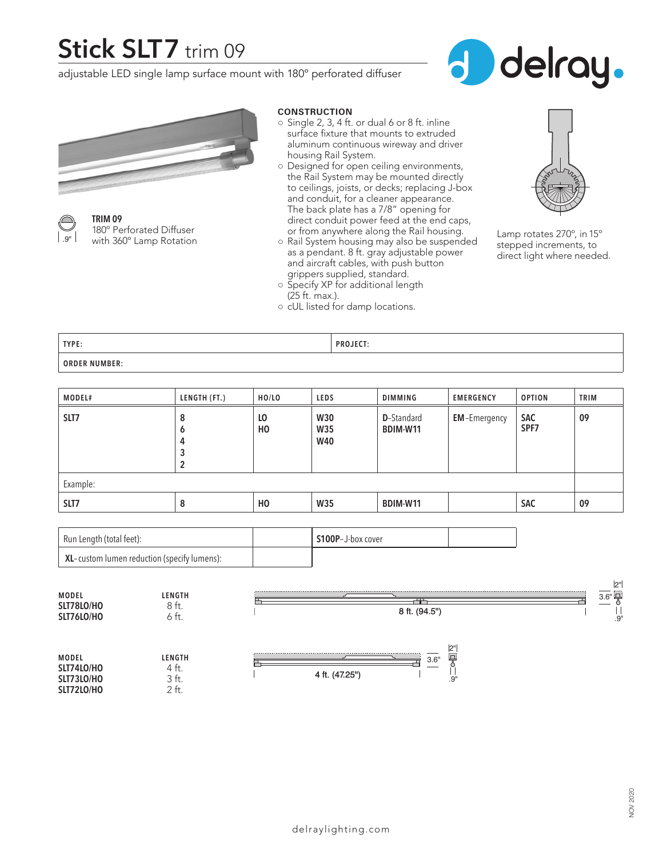## **Stick SLT7** trim 09

adjustable LED single lamp surface mount with 180º perforated diffuser





**TRIM 09** 180º Perforated Diffuser with 360° Lamp Rotation

#### **CONSTRUCTION**

- $\circ$  Single 2, 3, 4 ft. or dual 6 or 8 ft. inline surface fixture that mounts to extruded aluminum continuous wireway and driver housing Rail System.
- Designed for open ceiling environments, the Rail System may be mounted directly to ceilings, joists, or decks; replacing J-box and conduit, for a cleaner appearance. The back plate has a 7/8" opening for direct conduit power feed at the end caps, or from anywhere along the Rail housing.
- Rail System housing may also be suspended as a pendant. 8 ft. gray adjustable power and aircraft cables, with push button grippers supplied, standard.



Lamp rotates 270º, in 15º stepped increments, to direct light where needed.

**TYPE: PROJECT: ORDER NUMBER:**

(25 ft. max.).

○ Specify XP for additional length

○ cUL listed for damp locations.

| <b>MODEL#</b> | LENGTH (FT.)          | HO/LO     | LEDS                                   | DIMMING                               | <b>EMERGENCY</b>    | <b>OPTION</b>      | <b>TRIM</b> |
|---------------|-----------------------|-----------|----------------------------------------|---------------------------------------|---------------------|--------------------|-------------|
| SLT7          | 8<br>6<br>4<br>3<br>2 | LO<br>HO. | <b>W30</b><br><b>W35</b><br><b>W40</b> | <b>D</b> -Standard<br><b>BDIM-W11</b> | <b>EM-Emergency</b> | <b>SAC</b><br>SPF7 | 09          |
| Example:      |                       |           |                                        |                                       |                     |                    |             |
| SLT7          | 8                     | HO        | <b>W35</b>                             | BDIM-W11                              |                     | <b>SAC</b>         | 09          |

| Run Length (total feet):                    | S100P-J-box cover |  |
|---------------------------------------------|-------------------|--|
| XL-custom lumen reduction (specify lumens): |                   |  |